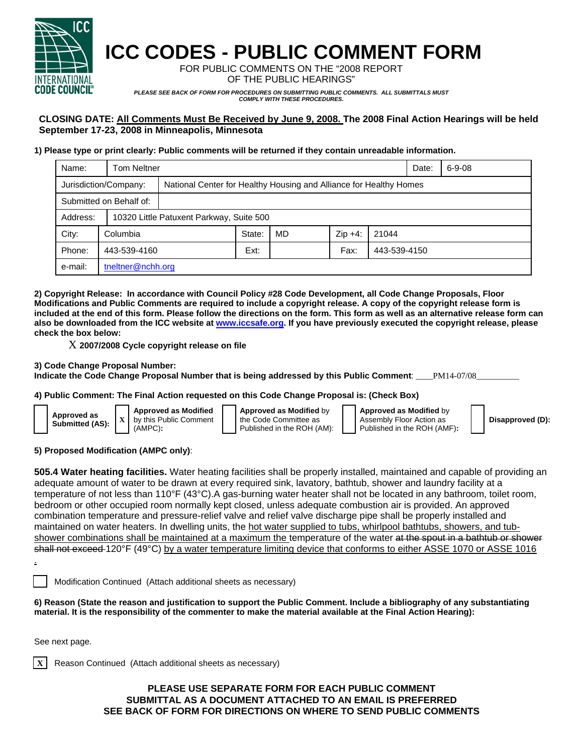

# **ICC CODES - PUBLIC COMMENT FORM**

FOR PUBLIC COMMENTS ON THE "2008 REPORT OF THE PUBLIC HEARINGS"

*PLEASE SEE BACK OF FORM FOR PROCEDURES ON SUBMITTING PUBLIC COMMENTS. ALL SUBMITTALS MUST COMPLY WITH THESE PROCEDURES.* 

## **CLOSING DATE: All Comments Must Be Received by June 9, 2008. The 2008 Final Action Hearings will be held September 17-23, 2008 in Minneapolis, Minnesota**

#### **1) Please type or print clearly: Public comments will be returned if they contain unreadable information.**

| Name:                   | <b>Tom Neltner</b>    |                                                                    |        |    |           |              | Date: | $6 - 9 - 08$ |
|-------------------------|-----------------------|--------------------------------------------------------------------|--------|----|-----------|--------------|-------|--------------|
|                         | Jurisdiction/Company: | National Center for Healthy Housing and Alliance for Healthy Homes |        |    |           |              |       |              |
| Submitted on Behalf of: |                       |                                                                    |        |    |           |              |       |              |
| Address:                |                       | 10320 Little Patuxent Parkway, Suite 500                           |        |    |           |              |       |              |
| City:                   | Columbia              |                                                                    | State: | MD | $Zip +4:$ | 21044        |       |              |
| Phone:                  | 443-539-4160          |                                                                    | Ext:   |    | Fax:      | 443-539-4150 |       |              |
| e-mail:                 | tneltner@nchh.org     |                                                                    |        |    |           |              |       |              |

**2) Copyright Release: In accordance with Council Policy #28 Code Development, all Code Change Proposals, Floor Modifications and Public Comments are required to include a copyright release. A copy of the copyright release form is included at the end of this form. Please follow the directions on the form. This form as well as an alternative release form can also be downloaded from the ICC website at www.iccsafe.org. If you have previously executed the copyright release, please check the box below:** 

X **2007/2008 Cycle copyright release on file** 

#### **3) Code Change Proposal Number:**

Indicate the Code Change Proposal Number that is being addressed by this Public Comment: \_\_\_\_PM14-07/08\_

#### **4) Public Comment: The Final Action requested on this Code Change Proposal is: (Check Box)**

| Approved as<br>Submitted (AS): | h |
|--------------------------------|---|
|                                |   |

**Approved as Modified** y this Public Comment (AMPC)**:** 

**Approved as Modified** by the Code Committee as Published in the ROH (AM): **Approved as Modified** by Assembly Floor Action as Published in the ROH (AMF)**:** 

**Disapproved (D):**

#### **5) Proposed Modification (AMPC only)**:

**505.4 Water heating facilities.** Water heating facilities shall be properly installed, maintained and capable of providing an adequate amount of water to be drawn at every required sink, lavatory, bathtub, shower and laundry facility at a temperature of not less than 110°F (43°C).A gas-burning water heater shall not be located in any bathroom, toilet room, bedroom or other occupied room normally kept closed, unless adequate combustion air is provided. An approved combination temperature and pressure-relief valve and relief valve discharge pipe shall be properly installed and maintained on water heaters. In dwelling units, the hot water supplied to tubs, whirlpool bathtubs, showers, and tubshower combinations shall be maintained at a maximum the temperature of the water at the spout in a bathtub or shower shall not exceed 120°F (49°C) by a water temperature limiting device that conforms to either ASSE 1070 or ASSE 1016

Modification Continued (Attach additional sheets as necessary)

**6) Reason (State the reason and justification to support the Public Comment. Include a bibliography of any substantiating material. It is the responsibility of the commenter to make the material available at the Final Action Hearing):**

See next page.

.

**Reason Continued (Attach additional sheets as necessary)** 

### **PLEASE USE SEPARATE FORM FOR EACH PUBLIC COMMENT SUBMITTAL AS A DOCUMENT ATTACHED TO AN EMAIL IS PREFERRED SEE BACK OF FORM FOR DIRECTIONS ON WHERE TO SEND PUBLIC COMMENTS**